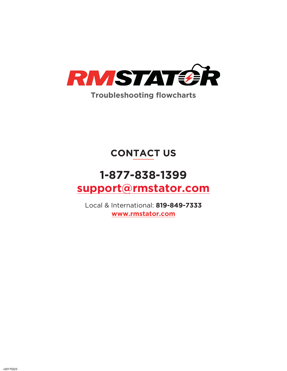

# **CONTACT US**

# **1-877-838-1399 support@rmstator.com**

Local & International: **819-849-7333 www.rmstator.com**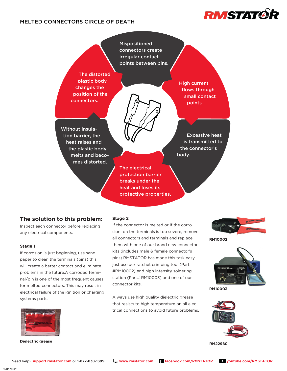## MELTED CONNECTORS CIRCLE OF DEATH



Mispositioned connectors create irregular contact points between pins.

The distorted plastic body changes the position of the connectors.

High current flows through small contact points.

Without insulation barrier, the heat raises and the plastic body melts and becomes distorted.

> The electrical protection barrier breaks under the heat and loses its protective properties.

Excessive heat is transmitted to the connector's body.

## **The solution to this problem:**

Inspect each connector before replacing any electrical components.

#### **Stage 1**

If corrosion is just beginning, use sand paper to clean the terminals (pins) this will create a better contact and eliminate problems in the future.A corroded terminal/pin is one of the most frequent causes for melted connectors. This may result in electrical failure of the ignition or charging systems parts.



**Dielectric grease**

#### **Stage 2**

If the connector is melted or if the corrosion on the terminals is too severe, remove all connectors and terminals and replace them with one of our brand new connector kits (includes male & female connector's pins).RMSTATOR has made this task easy just use our ratchet crimping tool (Part #RM10002) and high intensity soldering station (Part# RM10003) and one of our connector kits.

Always use high quality dielectric grease that resists to high temperature on all electrical connections to avoid future problems.



**RM10002**



**RM10003**



**RM22980**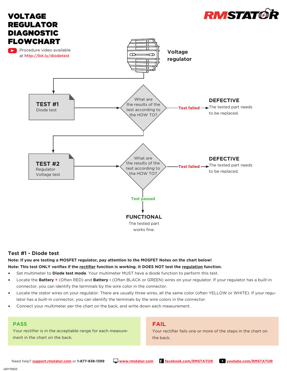

## **Test #1 - Diode test**

#### **Note: If you are testing a MOSFET regulator, pay attention to the MOSFET Notes on the chart below! Note: This test ONLY verifies if the rectifier function is working. It DOES NOT test the regulation function.**

- Set multimeter to **Diode test mode**. Your multimeter MUST have a diode function to perform this test.
- Locate the **Battery +** (Often RED) and **Battery -** (Often BLACK or GREEN) wires on your regulator. If your regulator has a built-in connector, you can identify the terminals by the wire color in the connector.
- Locate the stator wires on your regulator. There are usually three wires, all the same color (often YELLOW or WHITE). If your regulator has a built-in connector, you can identify the terminals by the wire colors in the connector.
- Connect your multimeter per the chart on the back, and write down each measurement.

#### **PASS**

Your rectifier is in the acceptable range for each measurement in the chart on the back.

## **FAIL**

Your rectifier fails one or more of the steps in the chart on the back.



v20170223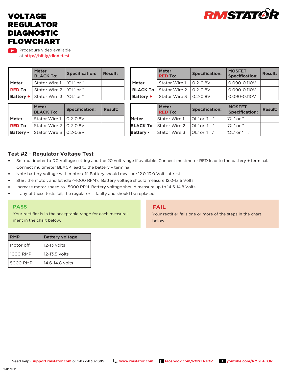

# VOLTAGE REGULATOR DIAGNOSTIC FLOWCHART

Procedure video available at http://bit.ly/diodetest

|               | <b>Meter</b><br><b>BLACK To:</b>                 | <b>Specification:</b><br><b>Result:</b> |  |
|---------------|--------------------------------------------------|-----------------------------------------|--|
| <b>Meter</b>  | Stator Wire 1   'OL' or '1 .'                    |                                         |  |
| <b>RED To</b> | Stator Wire 2   'OL' or '1 $\cdot$ '             |                                         |  |
|               | <b>Battery +</b> Stator Wire $3$   'OL' or '1 .' |                                         |  |

|                  | <b>Meter</b><br><b>BLACK To:</b> | <b>Specification:</b> | <b>Result:</b> |
|------------------|----------------------------------|-----------------------|----------------|
| Meter            | Stator Wire 1   0.2-0.8V         |                       |                |
| <b>RED To</b>    | Stator Wire 2   0.2-0.8V         |                       |                |
| <b>Battery -</b> | Stator Wire 3   0.2-0.8V         |                       |                |

|                 | <b>Meter</b><br><b>RED To:</b> | <b>Specification:</b> | <b>MOSFET</b><br><b>Specification:</b> | <b>Result:</b> |
|-----------------|--------------------------------|-----------------------|----------------------------------------|----------------|
| <b>Meter</b>    | Stator Wire 1                  | $0.2 - 0.8V$          | 0.090-0.110V                           |                |
| <b>BLACK To</b> | Stator Wire 2                  | $0.2 - 0.8V$          | 0.090-0.110V                           |                |
| Battery +       | Stator Wire 3                  | $0.2 - 0.8V$          | 0.090-0.110V                           |                |
|                 |                                |                       |                                        |                |
|                 | <b>Meter</b><br><b>RED To:</b> | <b>Specification:</b> | <b>MOSFET</b><br><b>Specification:</b> | <b>Result:</b> |

|                  | 115651<br><b>RED To:</b>                       | <b>Specification:</b> | 11991 L I<br><b>Specification:</b>  | <b>Result:</b> |
|------------------|------------------------------------------------|-----------------------|-------------------------------------|----------------|
| Meter            | Stator Wire 1 $\lvert$ $OL'$ or '1 $\lvert$ '  |                       | $\mathsf{'OL'}$ or $\mathsf{'I}$ .' |                |
|                  | <b>BLACK To</b> Stator Wire 2     OL' or '1 .' |                       | $\mathsf{'OL'}$ or $\mathsf{'I}$ .' |                |
| <b>Battery -</b> | Stator Wire 3   OL' or '1 .'                   |                       | ${^{\circ}O L'}$ or '1 $\cdot$ '    |                |

## **Test #2 - Regulator Voltage Test**

- Set multimeter to DC Voltage setting and the 20 volt range if available. Connect multimeter RED lead to the battery + terminal. Connect multimeter BLACK lead to the battery – terminal.
- Note battery voltage with motor off. Battery should measure 12.0-13.0 Volts at rest.
- Start the motor, and let idle (~1000 RPM). Battery voltage should measure 12.0-13.5 Volts.
- Increase motor speed to ~5000 RPM. Battery voltage should measure up to 14.6-14.8 Volts.
- If any of these tests fail, the regulator is faulty and should be replaced.

#### **PASS**

Your rectifier is in the acceptable range for each measurement in the chart below.

| <b>RMP</b> | <b>Battery voltage</b> |
|------------|------------------------|
| Motor off  | 12-13 volts            |
| 1000 RMP   | 12-13.5 volts          |
| 5000 RMP   | 14.6-14.8 volts        |

## **FAIL**

Your rectifier fails one or more of the steps in the chart below.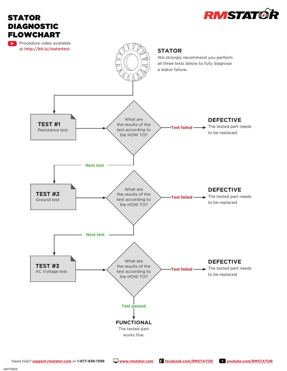



v20170223

STATOR

DIAGNOSTIC FLOWCHART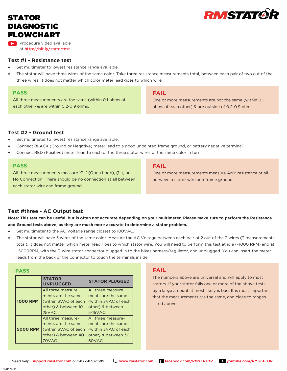# STATOR DIAGNOSTIC FLOWCHART

Procedure video available at http://bit.ly/statortest

## **Test #1 - Resistance test**

- Set multimeter to lowest resistance range available.
- The stator will have three wires of the same color. Take three resistance measurements total, between each pair of two out of the three wires. It does not matter which color meter lead goes to which wire.

## **PASS**

All three measurements are the same (within 0.1 ohms of each other) & are within 0.2-0.9 ohms.

## **FAIL**

One or more measurements are not the same (within 0.1 ohms of each other) & are outside of 0.2-0.9 ohms.

**RMSTAT®** 

## **Test #2 - Ground test**

- Set multimeter to lowest resistance range available.
- Connect BLACK (Ground or Negative) meter lead to a good unpainted frame ground, or battery negative terminal.
- Connect RED (Positive) meter lead to each of the three stator wires of the same color in turn.

## **PASS**

All three measurements measure 'OL' (Open Loop), (1 .), or No Connection. There should be no connection at all between each stator wire and frame ground.

## **FAIL**

One or more measurements measure ANY resistance at all between a stator wire and frame ground.

## **Test #three - AC Output test**

## **Note: This test can be useful, but is often not accurate depending on your multimeter. Please make sure to perform the Resistance and Ground tests above, as they are much more accurate to determine a stator problem.**

- Set multimeter to the AC Voltage range closest to 100VAC.
- The stator will have 3 wires of the same color. Measure the AC Voltage between each pair of 2 out of the 3 wires (3 measurements total). It does not matter which meter lead goes to which stator wire. You will need to perform this test at idle (~1000 RPM) and at ~5000RPM, with the 3-wire stator connector plugged in to the bikes harness/regulator, and unplugged. You can insert the meter leads from the back of the connector to touch the terminals inside.

#### **PASS**

|                 | <b>STATOR</b><br><b>UNPLUGGED</b> | <b>STATOR PLUGGED</b>                     |
|-----------------|-----------------------------------|-------------------------------------------|
|                 | All three measure-                | All three measure-                        |
|                 | ments are the same                | ments are the same                        |
| <b>1000 RPM</b> | (within 3VAC of each              | l (within 3VAC of each                    |
|                 | other) & between 10-              | other) & between                          |
|                 | 25VAC.                            | 5-15 VAC.                                 |
|                 | All three measure-                | All three measure-                        |
|                 | ments are the same                | ments are the same                        |
| <b>5000 RPM</b> | l (within 3VAC of each)           | (within 3VAC of each                      |
|                 |                                   | other) & between 40- other) & between 30- |
|                 | 70VAC.                            | 60VAC                                     |

## **FAIL**

The numbers above are universal and will apply to most stators. If your stator fails one or more of the above tests by a large amount, it most likely is bad. It is most important that the measurements are the same, and close to ranges listed above.



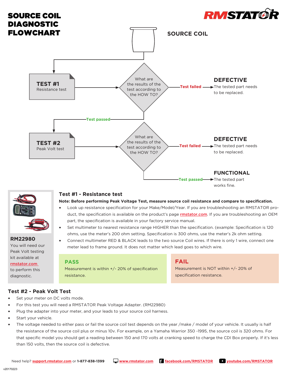



# **RM22980**

You will need our Peak Volt testing kit available at rmstator.com

to perform this diagnostic.

## **Test #1 - Resistance test**

**Note: Before performing Peak Voltage Test, measure source coil resistance and compare to specification.**

- Look up resistance specification for your Make/Model/Year. If you are troubleshooting an RMSTATOR product, the specification is available on the product's page **rmstator.com**. If you are troubleshooting an OEM part, the specification is available in your factory service manual.
- Set multimeter to nearest resistance range HIGHER than the specification. (example: Specification is 120 ohms, use the meter's 200 ohm setting. Specification is 300 ohms, use the meter's 2k ohm setting.
- Connect multimeter RED & BLACK leads to the two source Coil wires. If there is only 1 wire, connect one meter lead to frame ground. It does not matter which lead goes to which wire.

## **PASS**

Measurement is within +/- 20% of specification resistance.

## **FAIL**

Measurement is NOT within +/- 20% of specification resistance.

## **Test #2 - Peak Volt Test**

- Set your meter on DC volts mode.
- For this test you will need a RMSTATOR Peak Voltage Adapter. (RM22980)
- Plug the adapter into your meter, and your leads to your source coil harness.
- Start your vehicle.
- The voltage needed to either pass or fail the source coil test depends on the year /make / model of your vehicle. It usually is half the resistance of the source coil plus or minus 10v. For example, on a Yamaha Warrior 350 -1995, the source coil is 320 ohms. For that specific model you should get a reading between 150 and 170 volts at cranking speed to charge the CDI Box properly. If it's less than 150 volts, then the source coil is defective.